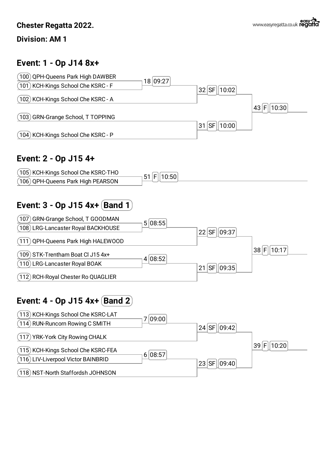#### **Division: AM 1**

### **Event: 1 - Op J14 8x+**



### **Event: 2 - Op J15 4+**



## **Event: 3 - Op J15 4x+ Band 1**



## **Event: 4 - Op J15 4x+ Band 2**

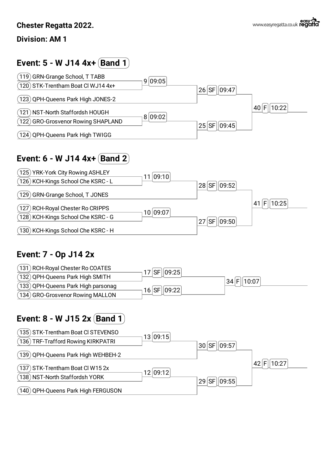#### **Division: AM 1**

## **Event: 5 - W J14 4x+ Band 1**



## **Event: 6 - W J14 4x+ Band 2**



### **Event: 7 - Op J14 2x**



### **Event: 8 - W J15 2x Band 1**

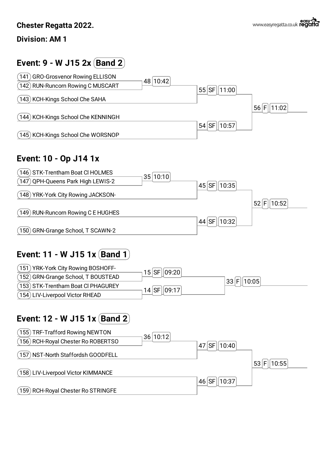#### **Division: AM 1**

## **Event: 9 - W J15 2x Band 2**



### **Event: 10 - Op J14 1x**



## **Event: 11 - W J15 1x Band 1**

| (151) YRK-York City Rowing BOSHOFF- | $15$ SF $ 09:20 $ |                  |  |
|-------------------------------------|-------------------|------------------|--|
| (152) GRN-Grange School, T BOUSTEAD |                   | 33 F <br>  10:05 |  |
| (153) STK-Trentham Boat Cl PHAGUREY | 14 SF 109:17      |                  |  |
| (154) LIV-Liverpool Victor RHEAD    |                   |                  |  |

## **Event: 12 - W J15 1x Band 2**

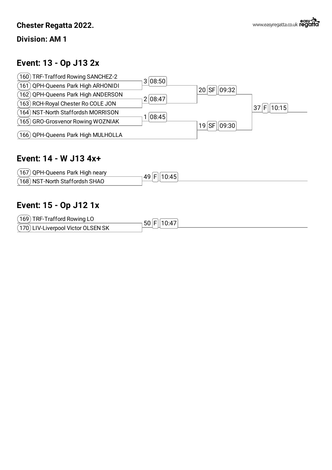#### **Division: AM 1**

### **Event: 13 - Op J13 2x**



#### **Event: 14 - W J13 4x+**



### **Event: 15 - Op J12 1x**

 TRF-Trafford Rowing LO  $(170)$  LIV-Liverpool Victor OLSEN SK F 10:47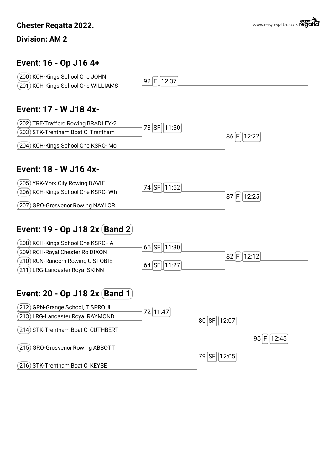**Division: AM 2**

### **Event: 16 - Op J16 4+**



#### **Event: 17 - W J18 4x-**



### **Event: 18 - W J16 4x-**



## **Event: 19 - Op J18 2x Band 2**



## **Event: 20 - Op J18 2x (Band 1)**

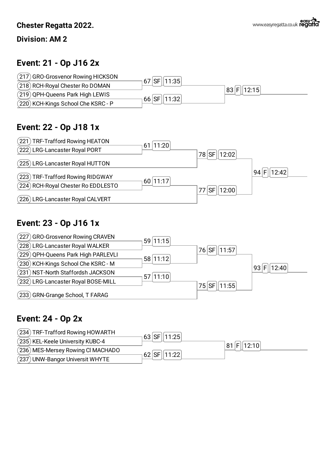**Division: AM 2**

## **Event: 21 - Op J16 2x**



### **Event: 22 - Op J18 1x**



### **Event: 23 - Op J16 1x**



### **Event: 24 - Op 2x**

| $(234)$ TRF-Trafford Rowing HOWARTH        | $63$ SF   11:25 |                                           |
|--------------------------------------------|-----------------|-------------------------------------------|
| (235) KEL-Keele University KUBC-4          |                 | $\parallel$ 12:10 $\parallel$<br>81<br>FI |
| (236) MES-Mersey Rowing Cl MACHADO         | 62 SF 11:22     |                                           |
| $\sqrt{237}$<br>UNW-Bangor Universit WHYTE |                 |                                           |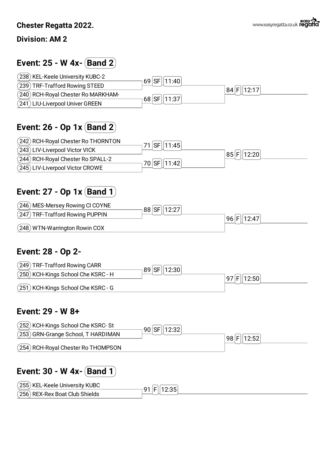#### **Division: AM 2**

## **Event: 25 - W 4x- Band 2**



## **Event: 26 - Op 1x Band 2**



### **Event: 27 - Op 1x Band 1**



### **Event: 28 - Op 2-**



#### **Event: 29 - W 8+**

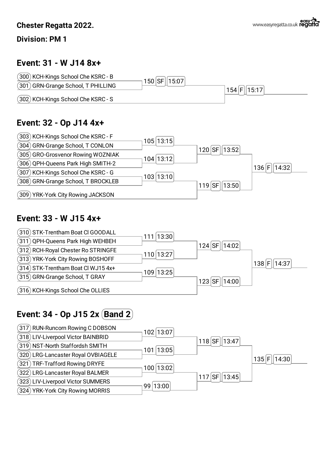#### **Division: PM 1**

### **Event: 31 - W J14 8x+**



### **Event: 32 - Op J14 4x+**



### **Event: 33 - W J15 4x+**



## **Event: 34 - Op J15 2x Band 2**

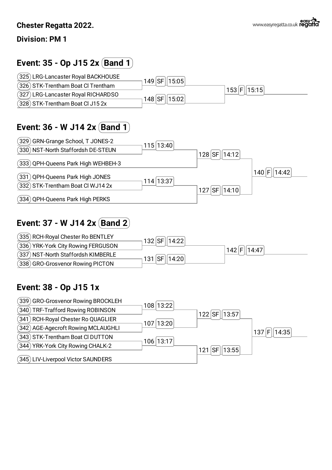**Division: PM 1**

## **Event: 35 - Op J15 2x Band 1**



## **Event: 36 - W J14 2x Band 1**



## **Event: 37 - W J14 2x Band 2**



### **Event: 38 - Op J15 1x**

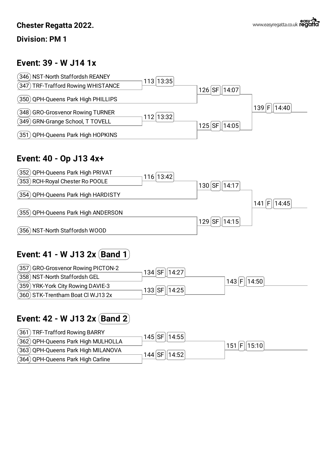### **Event: 39 - W J14 1x**



### **Event: 40 - Op J13 4x+**



## **Event: 41 - W J13 2x Band 1**

| (357) GRO-Grosvenor Rowing PICTON-2 | $134$ SF<br>14:27       |
|-------------------------------------|-------------------------|
| (358) NST-North Staffordsh GEL      | 143   F    14:50        |
| (359) YRK-York City Rowing DAVIE-3  | $133$ $ SF $ .<br>14:25 |
| (360) STK-Trentham Boat Cl WJ13 2x  |                         |

### **Event: 42 - W J13 2x Band 2**

| (361) TRF-Trafford Rowing BARRY     | 145 SF   14:55       |
|-------------------------------------|----------------------|
| (362) QPH-Queens Park High MULHOLLA | $ 151 $ F $  15:10 $ |
| (363) QPH-Queens Park High MILANOVA | 144 SF 14:52         |
| (364) QPH-Queens Park High Carline  |                      |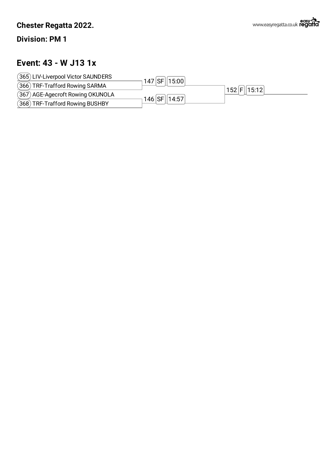**Division: PM 1** 

## Event: 43 - W J13 1x

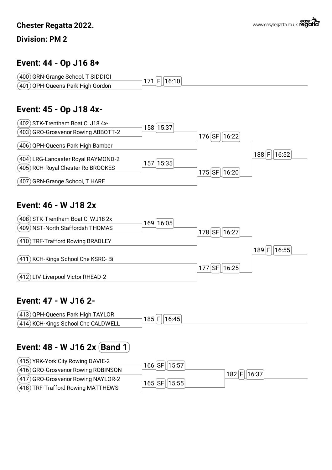**Division: PM 2**

### **Event: 44 - Op J16 8+**



### **Event: 45 - Op J18 4x-**



### **Event: 46 - W J18 2x**



### **Event: 47 - W J16 2-**



### **Event: 48 - W J16 2x Band 1**

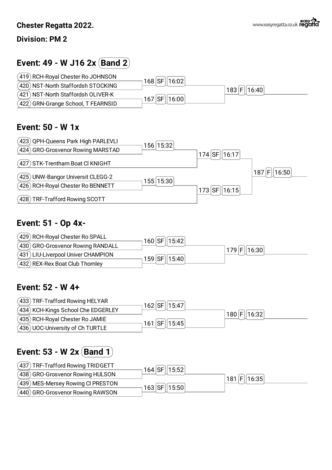**Division: PM 2**

## **Event: 49 - W J16 2x Band 2**



### **Event: 50 - W 1x**



### **Event: 51 - Op 4x-**



### **Event: 52 - W 4+**



## **Event: 53 - W 2x Band 1**